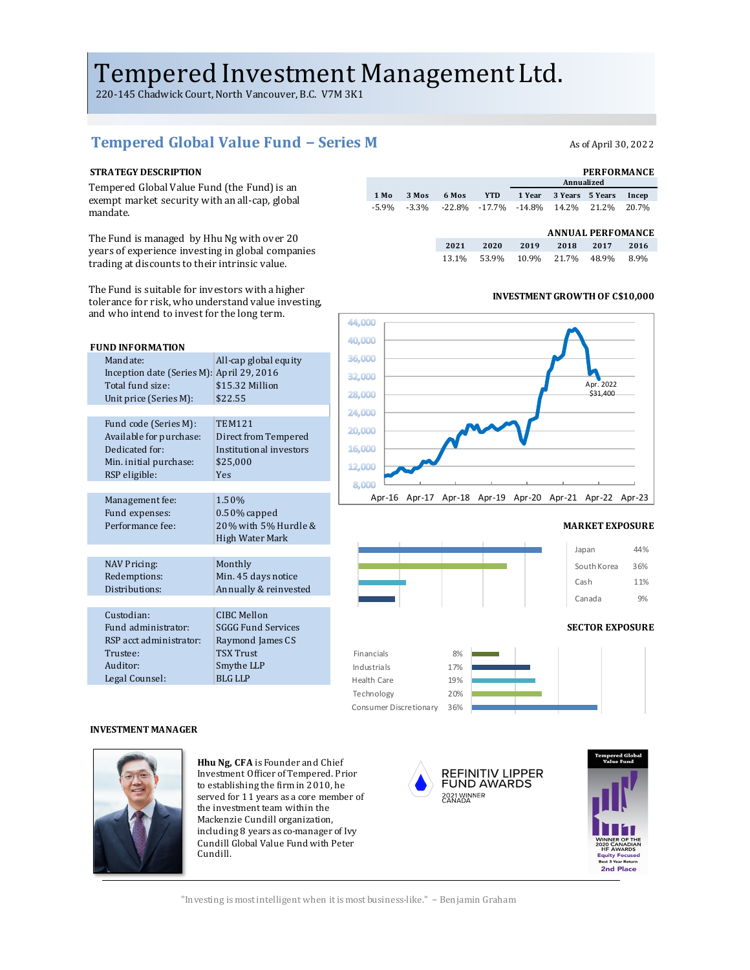# Tempered Investment Management Ltd.

220-145 Chadwick Court, North Vancouver, B.C. V7M 3K1

# Tempered Global Value Fund − Series M<br>As of April 30, 2022

Tempered Global Value Fund (the Fund) is an exempt market security with an all-cap, global mandate. 

The Fund is managed by Hhu Ng with over 20 years of experience investing in global companies trading at discounts to their intrinsic value.

The Fund is suitable for investors with a higher tolerance for risk, who understand value investing, and who intend to invest for the long term.

| <b>FUND INFORMATION</b>                   |                           |
|-------------------------------------------|---------------------------|
| Mandate:                                  | All-cap global equity     |
| Inception date (Series M): April 29, 2016 |                           |
| Total fund size:                          | \$15.32 Million           |
| Unit price (Series M):                    | \$22.55                   |
|                                           |                           |
| Fund code (Series M):                     | <b>TEM121</b>             |
| Available for purchase:                   | Direct from Tempered      |
| Dedicated for:                            | Institutional investors   |
| Min. initial purchase:                    | \$25,000                  |
| RSP eligible:                             | Yes                       |
|                                           |                           |
| Management fee:                           | 1.50%                     |
| Fund expenses:                            | $0.50\%$ capped           |
| Performance fee:                          | 20% with 5% Hurdle &      |
|                                           | High Water Mark           |
|                                           |                           |
| <b>NAV Pricing:</b>                       | Monthly                   |
| Redemptions:                              | Min. 45 days notice       |
| Distributions:                            | Annually & reinvested     |
|                                           |                           |
| Custodian:                                | <b>CIBC Mellon</b>        |
| Fund administrator:                       | <b>SGGG Fund Services</b> |
| RSP acct administrator:                   | Raymond James CS          |
| Trustee:                                  | <b>TSX Trust</b>          |
| Auditor:                                  | Smythe LLP                |
| Legal Counsel:                            | <b>BLG LLP</b>            |

#### **STRATEGY DESCRIPTION PERFORMANCE 1 Year 3 Years 5 Years Incep** -5.9% -3.3% -22.8% -17.7% -14.8% 14.2% 21.2% 20.7% **1 Mo 3 Mos 6 Mos YTD Annualized**

| <b>ANNUAL PERFOMANCE</b> |
|--------------------------|

|       |      |      | ANNUAL LENFORMACE |       |      |
|-------|------|------|-------------------|-------|------|
| 2021  | 2020 | 2019 | 2018              | 2017  | 2016 |
| 13.1% |      |      | 53.9% 10.9% 21.7% | 48.9% | 8.9% |

#### **INVESTMENT GROWTH OF C\$10,000**



#### **MARKET EXPOSURE**



### South Korea 36% Cash 11% Canada 9%

#### **SECTOR EXPOSURE**



#### **INVESTMENT MANAGER**



**Hhu Ng, CFA** is Founder and Chief Investment Officer of Tempered. Prior to establishing the firm in 2010, he served for 11 years as a core member of the investment team within the Mackenzie Cundill organization, including 8 years as co-manager of Ivy Cundill Global Value Fund with Peter Cundill.





"Investing is most intelligent when it is most business-like." – Benjamin Graham